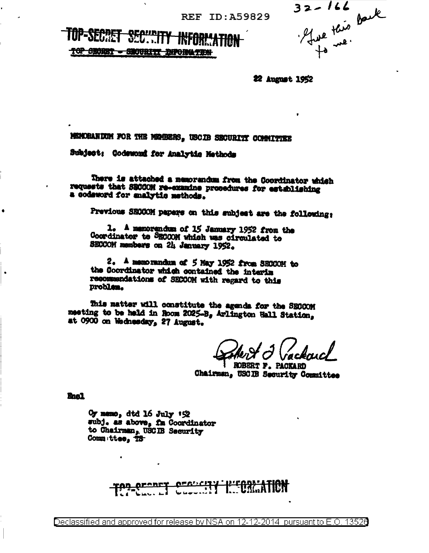**REF ID: A59829** 

**SECTE** TOP SECRET - SECURITY DIFORMATION

 $32 - 166$ ----- Denk

22 August 1952

MENORANDOM FOR THE MEMBERS, USCIB SECURITY COMMITTEE

Subject: Codewond for Analytic Methods

There is attached a memorandum from the Coordinator which requests that SBCCOM re-examine procedures for establishing a codeword for analytic methods.

Previous SECCOM papers on this subject are the following:

1. A memorandum of 15 January 1952 from the Coordinator to SECCOM which was circulated to SECCOM members on 24 January 1952.

2. A memorandum of 5 May 1952 from SECCOM to the Coordinator which contained the interim recommendations of SECCOM with regard to this problem.

This matter will constitute the agenda for the SECCOM meeting to be held in Room 2025-B, Arlington Hall Station, at 0900 on Wednesday, 27 August.

ROBERT F. PACKARD Chairman, USCIB Security Committee

**Bas1** 

 $Oy$  memo, dtd 16 July  $1\%$ subj. as above, fm Coordinator to Chairman, USC IB Security Comm ttee, TS

> <u>orenet</u>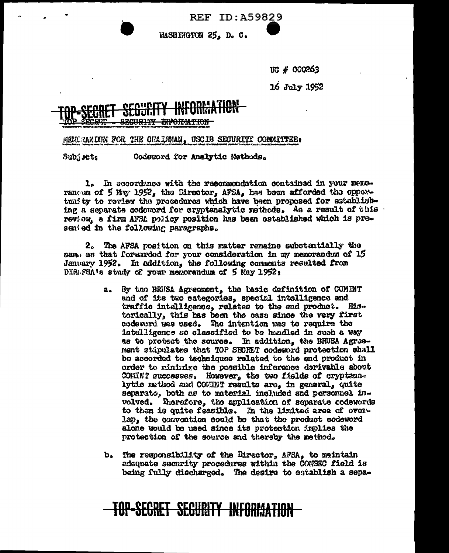**REF ID: A59829** 

WASHINGTON 25, D. C.

UG # 000263

16 July 1952

## <del>INFORTATION</del>

MENCRANIUM FOR THE CHAIRMAN, USCIB SECURITY COMMITTEE:

Subj set: Codeword for Analytic Methods.

1. In accordance with the recommendation contained in your memorantum of 5 My 1952, the Director, AFSA, has been afforded the opportunity to review the procedures which have been proposed for establishing a separate codeword for cryptenalytic methods. As a result of this review, a firm AFSA policy position has been established which is presented in the following paragraphs.

2. The AFSA position on this matter remains substantially the sam, as that forwarded for your consideration in my memorandum of 15 January 1952. In addition, the following comments resulted from DIRESSA's study of your memorandum of 5 May 1952;

- a. By the BRUSA Agreement, the basic definition of COMINT and of its two categories, special intelligence and traffic intelligence, relates to the end product. His. torically, this has been the case since the very first codeword was used. The intention was to require the intelligence so classified to be handled in such a way as to protect the source. In addition, the BRUSA Agreement stipulates that TOP SECRET codeword protection shall be accorded to techniques related to the end product in order to mininize the possible inference derivable about COMINT successes. However, the two fields of cryptanalytic method and COMINT results are, in general, quite separate, both as to material included and personnel involved. Therefore, the application of separate codewords to them is quite feasible. In the limited area of overlap, the convention could be that the product codeword alone would be used since its protection implies the protection of the source and thereby the method.
- b. The responsibility of the Director, AFSA, to maintain adequate security procedures within the COMSEC field is being fully discharged. The desire to establish a sepa-

## <u>-SECRET SEGURITY INFORMATION</u>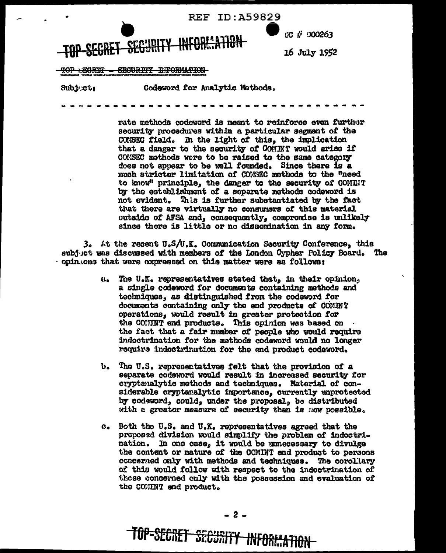

Subject:

Codeword for Analytic Methods.

rate methods codeword is meant to reinforce even further security procedures within a particular segment of the COMSEC field. In the light of this, the implication that a danger to the security of COMINT would arise if CONSEC methods were to be raised to the same category does not appear to be well founded. Since there is a much stricter limitation of COMSEC methods to the "need to know" principle, the danger to the security of COMINT by the establishment of a separate methods codeword is not evident. This is further substantiated by the fact that there are virtually no consumers of this material outside of AFSA and, consequently, compromise is unlikely since there is little or no dissemination in any form.

3. At the recent U.S/U.K. Communication Security Conference, this subjuct was discussed with members of the London Cypher Policy Board. The · opin that were expressed on this matter were as follows:

- The U.K. representatives stated that, in their opinion,  $\mathbf{a}_\bullet$ a single codeword for documents containing methods and techniques, as distinguished from the codeword for documents containing only the end products of COMINT operations, would result in greater protection for the COMMT end products. This opinion was based on the fact that a fair number of people who would require indoctrination for the methods codeword would no longer require indoctrination for the end product codeword.
- $\mathbf{b}_{\alpha}$ The U.S. representatives felt that the provision of a separate codeword would result in increased security for cryptanalytic methods and techniques. Material of considerable cryptaralytic importance, currently unprotected by codeword, could, under the proposal, be distributed with a greater measure of security than is now possible.
- c. Both the U.S. and U.K. representatives agreed that the proposed division would simplify the problem of indoctrination. In one case, it would be unnecessary to divulge the content or nature of the COMINT and product to persons concerned only with methods and techniques. The corollary of this would follow with respect to the indoctrination of those concerned only with the possession and evaluation of the COMINT end product.

TOP-SECRET SECURITY INFORMATION